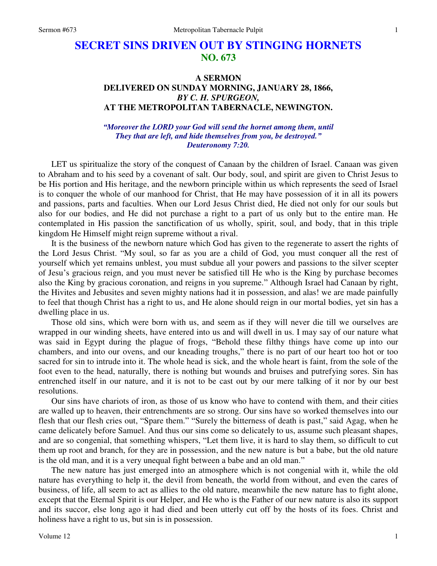# **SECRET SINS DRIVEN OUT BY STINGING HORNETS NO. 673**

## **A SERMON DELIVERED ON SUNDAY MORNING, JANUARY 28, 1866,**  *BY C. H. SPURGEON,*  **AT THE METROPOLITAN TABERNACLE, NEWINGTON.**

### *"Moreover the LORD your God will send the hornet among them, until They that are left, and hide themselves from you, be destroyed." Deuteronomy 7:20.*

LET us spiritualize the story of the conquest of Canaan by the children of Israel. Canaan was given to Abraham and to his seed by a covenant of salt. Our body, soul, and spirit are given to Christ Jesus to be His portion and His heritage, and the newborn principle within us which represents the seed of Israel is to conquer the whole of our manhood for Christ, that He may have possession of it in all its powers and passions, parts and faculties. When our Lord Jesus Christ died, He died not only for our souls but also for our bodies, and He did not purchase a right to a part of us only but to the entire man. He contemplated in His passion the sanctification of us wholly, spirit, soul, and body, that in this triple kingdom He Himself might reign supreme without a rival.

 It is the business of the newborn nature which God has given to the regenerate to assert the rights of the Lord Jesus Christ. "My soul, so far as you are a child of God, you must conquer all the rest of yourself which yet remains unblest, you must subdue all your powers and passions to the silver scepter of Jesu's gracious reign, and you must never be satisfied till He who is the King by purchase becomes also the King by gracious coronation, and reigns in you supreme." Although Israel had Canaan by right, the Hivites and Jebusites and seven mighty nations had it in possession, and alas! we are made painfully to feel that though Christ has a right to us, and He alone should reign in our mortal bodies, yet sin has a dwelling place in us.

 Those old sins, which were born with us, and seem as if they will never die till we ourselves are wrapped in our winding sheets, have entered into us and will dwell in us. I may say of our nature what was said in Egypt during the plague of frogs, "Behold these filthy things have come up into our chambers, and into our ovens, and our kneading troughs," there is no part of our heart too hot or too sacred for sin to intrude into it. The whole head is sick, and the whole heart is faint, from the sole of the foot even to the head, naturally, there is nothing but wounds and bruises and putrefying sores. Sin has entrenched itself in our nature, and it is not to be cast out by our mere talking of it nor by our best resolutions.

 Our sins have chariots of iron, as those of us know who have to contend with them, and their cities are walled up to heaven, their entrenchments are so strong. Our sins have so worked themselves into our flesh that our flesh cries out, "Spare them." "Surely the bitterness of death is past," said Agag, when he came delicately before Samuel. And thus our sins come so delicately to us, assume such pleasant shapes, and are so congenial, that something whispers, "Let them live, it is hard to slay them, so difficult to cut them up root and branch, for they are in possession, and the new nature is but a babe, but the old nature is the old man, and it is a very unequal fight between a babe and an old man."

 The new nature has just emerged into an atmosphere which is not congenial with it, while the old nature has everything to help it, the devil from beneath, the world from without, and even the cares of business, of life, all seem to act as allies to the old nature, meanwhile the new nature has to fight alone, except that the Eternal Spirit is our Helper, and He who is the Father of our new nature is also its support and its succor, else long ago it had died and been utterly cut off by the hosts of its foes. Christ and holiness have a right to us, but sin is in possession.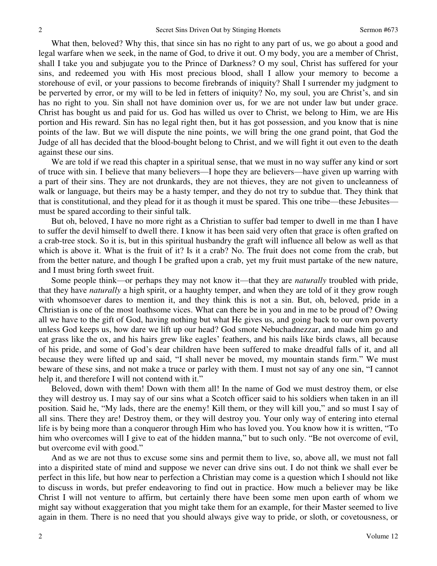What then, beloved? Why this, that since sin has no right to any part of us, we go about a good and legal warfare when we seek, in the name of God, to drive it out. O my body, you are a member of Christ, shall I take you and subjugate you to the Prince of Darkness? O my soul, Christ has suffered for your sins, and redeemed you with His most precious blood, shall I allow your memory to become a storehouse of evil, or your passions to become firebrands of iniquity? Shall I surrender my judgment to be perverted by error, or my will to be led in fetters of iniquity? No, my soul, you are Christ's, and sin has no right to you. Sin shall not have dominion over us, for we are not under law but under grace. Christ has bought us and paid for us. God has willed us over to Christ, we belong to Him, we are His portion and His reward. Sin has no legal right then, but it has got possession, and you know that is nine points of the law. But we will dispute the nine points, we will bring the one grand point, that God the Judge of all has decided that the blood-bought belong to Christ, and we will fight it out even to the death against these our sins.

 We are told if we read this chapter in a spiritual sense, that we must in no way suffer any kind or sort of truce with sin. I believe that many believers—I hope they are believers—have given up warring with a part of their sins. They are not drunkards, they are not thieves, they are not given to uncleanness of walk or language, but theirs may be a hasty temper, and they do not try to subdue that. They think that that is constitutional, and they plead for it as though it must be spared. This one tribe—these Jebusites must be spared according to their sinful talk.

 But oh, beloved, I have no more right as a Christian to suffer bad temper to dwell in me than I have to suffer the devil himself to dwell there. I know it has been said very often that grace is often grafted on a crab-tree stock. So it is, but in this spiritual husbandry the graft will influence all below as well as that which is above it. What is the fruit of it? Is it a crab? No. The fruit does not come from the crab, but from the better nature, and though I be grafted upon a crab, yet my fruit must partake of the new nature, and I must bring forth sweet fruit.

 Some people think—or perhaps they may not know it—that they are *naturally* troubled with pride, that they have *naturally* a high spirit, or a haughty temper, and when they are told of it they grow rough with whomsoever dares to mention it, and they think this is not a sin. But, oh, beloved, pride in a Christian is one of the most loathsome vices. What can there be in you and in me to be proud of? Owing all we have to the gift of God, having nothing but what He gives us, and going back to our own poverty unless God keeps us, how dare we lift up our head? God smote Nebuchadnezzar, and made him go and eat grass like the ox, and his hairs grew like eagles' feathers, and his nails like birds claws, all because of his pride, and some of God's dear children have been suffered to make dreadful falls of it, and all because they were lifted up and said, "I shall never be moved, my mountain stands firm." We must beware of these sins, and not make a truce or parley with them. I must not say of any one sin, "I cannot help it, and therefore I will not contend with it."

 Beloved, down with them! Down with them all! In the name of God we must destroy them, or else they will destroy us. I may say of our sins what a Scotch officer said to his soldiers when taken in an ill position. Said he, "My lads, there are the enemy! Kill them, or they will kill you," and so must I say of all sins. There they are! Destroy them, or they will destroy you. Your only way of entering into eternal life is by being more than a conqueror through Him who has loved you. You know how it is written, "To him who overcomes will I give to eat of the hidden manna," but to such only. "Be not overcome of evil, but overcome evil with good."

 And as we are not thus to excuse some sins and permit them to live, so, above all, we must not fall into a dispirited state of mind and suppose we never can drive sins out. I do not think we shall ever be perfect in this life, but how near to perfection a Christian may come is a question which I should not like to discuss in words, but prefer endeavoring to find out in practice. How much a believer may be like Christ I will not venture to affirm, but certainly there have been some men upon earth of whom we might say without exaggeration that you might take them for an example, for their Master seemed to live again in them. There is no need that you should always give way to pride, or sloth, or covetousness, or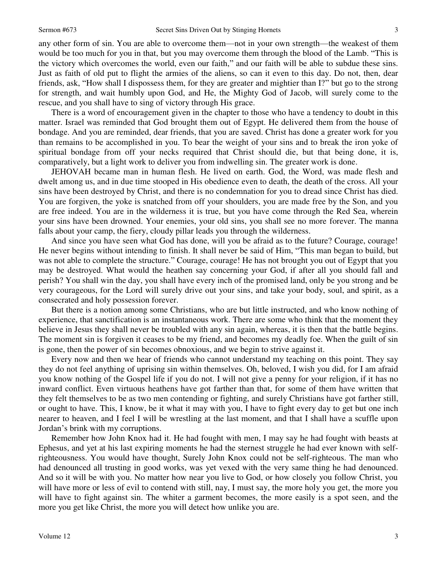any other form of sin. You are able to overcome them—not in your own strength—the weakest of them would be too much for you in that, but you may overcome them through the blood of the Lamb. "This is the victory which overcomes the world, even our faith," and our faith will be able to subdue these sins. Just as faith of old put to flight the armies of the aliens, so can it even to this day. Do not, then, dear friends, ask, "How shall I dispossess them, for they are greater and mightier than I?" but go to the strong for strength, and wait humbly upon God, and He, the Mighty God of Jacob, will surely come to the rescue, and you shall have to sing of victory through His grace.

 There is a word of encouragement given in the chapter to those who have a tendency to doubt in this matter. Israel was reminded that God brought them out of Egypt. He delivered them from the house of bondage. And you are reminded, dear friends, that you are saved. Christ has done a greater work for you than remains to be accomplished in you. To bear the weight of your sins and to break the iron yoke of spiritual bondage from off your necks required that Christ should die, but that being done, it is, comparatively, but a light work to deliver you from indwelling sin. The greater work is done.

 JEHOVAH became man in human flesh. He lived on earth. God, the Word, was made flesh and dwelt among us, and in due time stooped in His obedience even to death, the death of the cross. All your sins have been destroyed by Christ, and there is no condemnation for you to dread since Christ has died. You are forgiven, the yoke is snatched from off your shoulders, you are made free by the Son, and you are free indeed. You are in the wilderness it is true, but you have come through the Red Sea, wherein your sins have been drowned. Your enemies, your old sins, you shall see no more forever. The manna falls about your camp, the fiery, cloudy pillar leads you through the wilderness.

 And since you have seen what God has done, will you be afraid as to the future? Courage, courage! He never begins without intending to finish. It shall never be said of Him, "This man began to build, but was not able to complete the structure." Courage, courage! He has not brought you out of Egypt that you may be destroyed. What would the heathen say concerning your God, if after all you should fall and perish? You shall win the day, you shall have every inch of the promised land, only be you strong and be very courageous, for the Lord will surely drive out your sins, and take your body, soul, and spirit, as a consecrated and holy possession forever.

 But there is a notion among some Christians, who are but little instructed, and who know nothing of experience, that sanctification is an instantaneous work. There are some who think that the moment they believe in Jesus they shall never be troubled with any sin again, whereas, it is then that the battle begins. The moment sin is forgiven it ceases to be my friend, and becomes my deadly foe. When the guilt of sin is gone, then the power of sin becomes obnoxious, and we begin to strive against it.

 Every now and then we hear of friends who cannot understand my teaching on this point. They say they do not feel anything of uprising sin within themselves. Oh, beloved, I wish you did, for I am afraid you know nothing of the Gospel life if you do not. I will not give a penny for your religion, if it has no inward conflict. Even virtuous heathens have got farther than that, for some of them have written that they felt themselves to be as two men contending or fighting, and surely Christians have got farther still, or ought to have. This, I know, be it what it may with you, I have to fight every day to get but one inch nearer to heaven, and I feel I will be wrestling at the last moment, and that I shall have a scuffle upon Jordan's brink with my corruptions.

 Remember how John Knox had it. He had fought with men, I may say he had fought with beasts at Ephesus, and yet at his last expiring moments he had the sternest struggle he had ever known with selfrighteousness. You would have thought, Surely John Knox could not be self-righteous. The man who had denounced all trusting in good works, was yet vexed with the very same thing he had denounced. And so it will be with you. No matter how near you live to God, or how closely you follow Christ, you will have more or less of evil to contend with still, nay, I must say, the more holy you get, the more you will have to fight against sin. The whiter a garment becomes, the more easily is a spot seen, and the more you get like Christ, the more you will detect how unlike you are.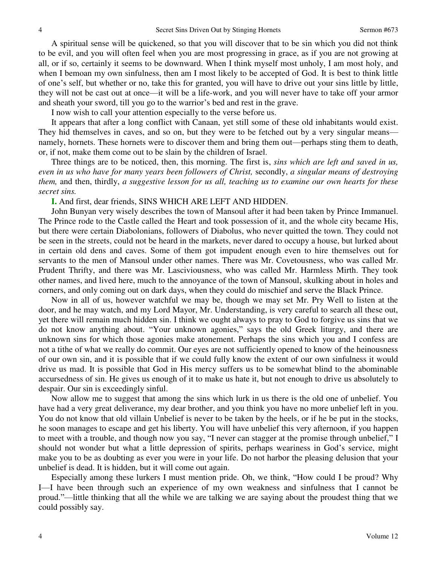A spiritual sense will be quickened, so that you will discover that to be sin which you did not think to be evil, and you will often feel when you are most progressing in grace, as if you are not growing at all, or if so, certainly it seems to be downward. When I think myself most unholy, I am most holy, and when I bemoan my own sinfulness, then am I most likely to be accepted of God. It is best to think little of one's self, but whether or no, take this for granted, you will have to drive out your sins little by little, they will not be cast out at once—it will be a life-work, and you will never have to take off your armor and sheath your sword, till you go to the warrior's bed and rest in the grave.

I now wish to call your attention especially to the verse before us.

It appears that after a long conflict with Canaan, yet still some of these old inhabitants would exist. They hid themselves in caves, and so on, but they were to be fetched out by a very singular means namely, hornets. These hornets were to discover them and bring them out—perhaps sting them to death, or, if not, make them come out to be slain by the children of Israel.

 Three things are to be noticed, then, this morning. The first is, *sins which are left and saved in us, even in us who have for many years been followers of Christ,* secondly, *a singular means of destroying them,* and then, thirdly, *a suggestive lesson for us all, teaching us to examine our own hearts for these secret sins.*

**I.** And first, dear friends, SINS WHICH ARE LEFT AND HIDDEN.

 John Bunyan very wisely describes the town of Mansoul after it had been taken by Prince Immanuel. The Prince rode to the Castle called the Heart and took possession of it, and the whole city became His, but there were certain Diabolonians, followers of Diabolus, who never quitted the town. They could not be seen in the streets, could not be heard in the markets, never dared to occupy a house, but lurked about in certain old dens and caves. Some of them got impudent enough even to hire themselves out for servants to the men of Mansoul under other names. There was Mr. Covetousness, who was called Mr. Prudent Thrifty, and there was Mr. Lasciviousness, who was called Mr. Harmless Mirth. They took other names, and lived here, much to the annoyance of the town of Mansoul, skulking about in holes and corners, and only coming out on dark days, when they could do mischief and serve the Black Prince.

 Now in all of us, however watchful we may be, though we may set Mr. Pry Well to listen at the door, and he may watch, and my Lord Mayor, Mr. Understanding, is very careful to search all these out, yet there will remain much hidden sin. I think we ought always to pray to God to forgive us sins that we do not know anything about. "Your unknown agonies," says the old Greek liturgy, and there are unknown sins for which those agonies make atonement. Perhaps the sins which you and I confess are not a tithe of what we really do commit. Our eyes are not sufficiently opened to know of the heinousness of our own sin, and it is possible that if we could fully know the extent of our own sinfulness it would drive us mad. It is possible that God in His mercy suffers us to be somewhat blind to the abominable accursedness of sin. He gives us enough of it to make us hate it, but not enough to drive us absolutely to despair. Our sin is exceedingly sinful.

 Now allow me to suggest that among the sins which lurk in us there is the old one of unbelief. You have had a very great deliverance, my dear brother, and you think you have no more unbelief left in you. You do not know that old villain Unbelief is never to be taken by the heels, or if he be put in the stocks, he soon manages to escape and get his liberty. You will have unbelief this very afternoon, if you happen to meet with a trouble, and though now you say, "I never can stagger at the promise through unbelief," I should not wonder but what a little depression of spirits, perhaps weariness in God's service, might make you to be as doubting as ever you were in your life. Do not harbor the pleasing delusion that your unbelief is dead. It is hidden, but it will come out again.

 Especially among these lurkers I must mention pride. Oh, we think, "How could I be proud? Why I—I have been through such an experience of my own weakness and sinfulness that I cannot be proud."—little thinking that all the while we are talking we are saying about the proudest thing that we could possibly say.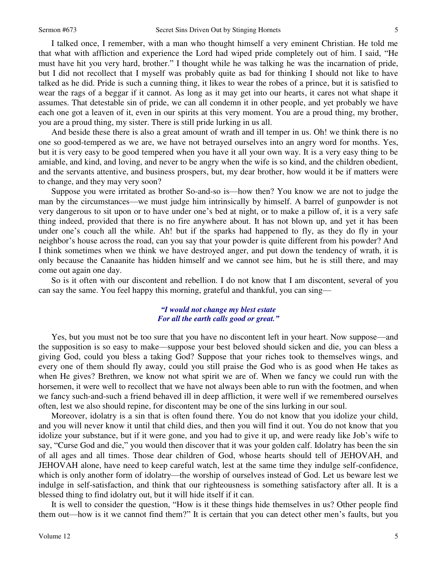I talked once, I remember, with a man who thought himself a very eminent Christian. He told me that what with affliction and experience the Lord had wiped pride completely out of him. I said, "He must have hit you very hard, brother." I thought while he was talking he was the incarnation of pride, but I did not recollect that I myself was probably quite as bad for thinking I should not like to have talked as he did. Pride is such a cunning thing, it likes to wear the robes of a prince, but it is satisfied to wear the rags of a beggar if it cannot. As long as it may get into our hearts, it cares not what shape it assumes. That detestable sin of pride, we can all condemn it in other people, and yet probably we have each one got a leaven of it, even in our spirits at this very moment. You are a proud thing, my brother, you are a proud thing, my sister. There is still pride lurking in us all.

 And beside these there is also a great amount of wrath and ill temper in us. Oh! we think there is no one so good-tempered as we are, we have not betrayed ourselves into an angry word for months. Yes, but it is very easy to be good tempered when you have it all your own way. It is a very easy thing to be amiable, and kind, and loving, and never to be angry when the wife is so kind, and the children obedient, and the servants attentive, and business prospers, but, my dear brother, how would it be if matters were to change, and they may very soon?

 Suppose you were irritated as brother So-and-so is—how then? You know we are not to judge the man by the circumstances—we must judge him intrinsically by himself. A barrel of gunpowder is not very dangerous to sit upon or to have under one's bed at night, or to make a pillow of, it is a very safe thing indeed, provided that there is no fire anywhere about. It has not blown up, and yet it has been under one's couch all the while. Ah! but if the sparks had happened to fly, as they do fly in your neighbor's house across the road, can you say that your powder is quite different from his powder? And I think sometimes when we think we have destroyed anger, and put down the tendency of wrath, it is only because the Canaanite has hidden himself and we cannot see him, but he is still there, and may come out again one day.

 So is it often with our discontent and rebellion. I do not know that I am discontent, several of you can say the same. You feel happy this morning, grateful and thankful, you can sing—

#### *"I would not change my blest estate For all the earth calls good or great."*

 Yes, but you must not be too sure that you have no discontent left in your heart. Now suppose—and the supposition is so easy to make—suppose your best beloved should sicken and die, you can bless a giving God, could you bless a taking God? Suppose that your riches took to themselves wings, and every one of them should fly away, could you still praise the God who is as good when He takes as when He gives? Brethren, we know not what spirit we are of. When we fancy we could run with the horsemen, it were well to recollect that we have not always been able to run with the footmen, and when we fancy such-and-such a friend behaved ill in deep affliction, it were well if we remembered ourselves often, lest we also should repine, for discontent may be one of the sins lurking in our soul.

 Moreover, idolatry is a sin that is often found there. You do not know that you idolize your child, and you will never know it until that child dies, and then you will find it out. You do not know that you idolize your substance, but if it were gone, and you had to give it up, and were ready like Job's wife to say, "Curse God and die," you would then discover that it was your golden calf. Idolatry has been the sin of all ages and all times. Those dear children of God, whose hearts should tell of JEHOVAH, and JEHOVAH alone, have need to keep careful watch, lest at the same time they indulge self-confidence, which is only another form of idolatry—the worship of ourselves instead of God. Let us beware lest we indulge in self-satisfaction, and think that our righteousness is something satisfactory after all. It is a blessed thing to find idolatry out, but it will hide itself if it can.

 It is well to consider the question, "How is it these things hide themselves in us? Other people find them out—how is it we cannot find them?" It is certain that you can detect other men's faults, but you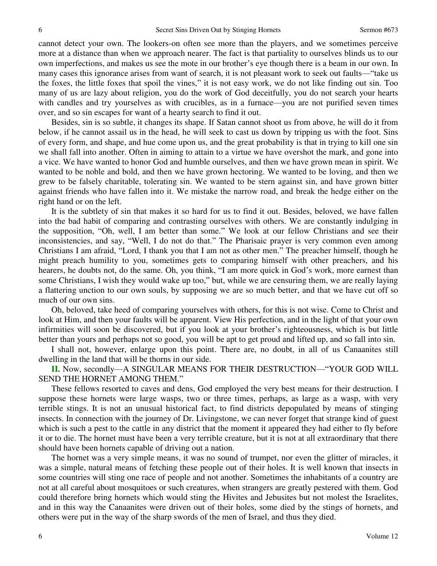cannot detect your own. The lookers-on often see more than the players, and we sometimes perceive more at a distance than when we approach nearer. The fact is that partiality to ourselves blinds us to our own imperfections, and makes us see the mote in our brother's eye though there is a beam in our own. In many cases this ignorance arises from want of search, it is not pleasant work to seek out faults—"take us the foxes, the little foxes that spoil the vines," it is not easy work, we do not like finding out sin. Too many of us are lazy about religion, you do the work of God deceitfully, you do not search your hearts with candles and try yourselves as with crucibles, as in a furnace—you are not purified seven times over, and so sin escapes for want of a hearty search to find it out.

 Besides, sin is so subtle, it changes its shape. If Satan cannot shoot us from above, he will do it from below, if he cannot assail us in the head, he will seek to cast us down by tripping us with the foot. Sins of every form, and shape, and hue come upon us, and the great probability is that in trying to kill one sin we shall fall into another. Often in aiming to attain to a virtue we have overshot the mark, and gone into a vice. We have wanted to honor God and humble ourselves, and then we have grown mean in spirit. We wanted to be noble and bold, and then we have grown hectoring. We wanted to be loving, and then we grew to be falsely charitable, tolerating sin. We wanted to be stern against sin, and have grown bitter against friends who have fallen into it. We mistake the narrow road, and break the hedge either on the right hand or on the left.

 It is the subtlety of sin that makes it so hard for us to find it out. Besides, beloved, we have fallen into the bad habit of comparing and contrasting ourselves with others. We are constantly indulging in the supposition, "Oh, well, I am better than some." We look at our fellow Christians and see their inconsistencies, and say, "Well, I do not do that." The Pharisaic prayer is very common even among Christians I am afraid, "Lord, I thank you that I am not as other men." The preacher himself, though he might preach humility to you, sometimes gets to comparing himself with other preachers, and his hearers, he doubts not, do the same. Oh, you think, "I am more quick in God's work, more earnest than some Christians, I wish they would wake up too," but, while we are censuring them, we are really laying a flattering unction to our own souls, by supposing we are so much better, and that we have cut off so much of our own sins.

 Oh, beloved, take heed of comparing yourselves with others, for this is not wise. Come to Christ and look at Him, and then your faults will be apparent. View His perfection, and in the light of that your own infirmities will soon be discovered, but if you look at your brother's righteousness, which is but little better than yours and perhaps not so good, you will be apt to get proud and lifted up, and so fall into sin.

 I shall not, however, enlarge upon this point. There are, no doubt, in all of us Canaanites still dwelling in the land that will be thorns in our side.

**II.** Now, secondly—A SINGULAR MEANS FOR THEIR DESTRUCTION—"YOUR GOD WILL SEND THE HORNET AMONG THEM."

 These fellows resorted to caves and dens, God employed the very best means for their destruction. I suppose these hornets were large wasps, two or three times, perhaps, as large as a wasp, with very terrible stings. It is not an unusual historical fact, to find districts depopulated by means of stinging insects. In connection with the journey of Dr. Livingstone, we can never forget that strange kind of guest which is such a pest to the cattle in any district that the moment it appeared they had either to fly before it or to die. The hornet must have been a very terrible creature, but it is not at all extraordinary that there should have been hornets capable of driving out a nation.

 The hornet was a very simple means, it was no sound of trumpet, nor even the glitter of miracles, it was a simple, natural means of fetching these people out of their holes. It is well known that insects in some countries will sting one race of people and not another. Sometimes the inhabitants of a country are not at all careful about mosquitoes or such creatures, when strangers are greatly pestered with them. God could therefore bring hornets which would sting the Hivites and Jebusites but not molest the Israelites, and in this way the Canaanites were driven out of their holes, some died by the stings of hornets, and others were put in the way of the sharp swords of the men of Israel, and thus they died.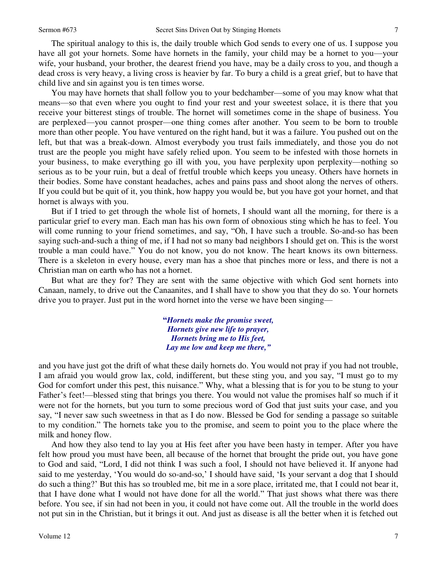The spiritual analogy to this is, the daily trouble which God sends to every one of us. I suppose you have all got your hornets. Some have hornets in the family, your child may be a hornet to you—your wife, your husband, your brother, the dearest friend you have, may be a daily cross to you, and though a dead cross is very heavy, a living cross is heavier by far. To bury a child is a great grief, but to have that child live and sin against you is ten times worse.

 You may have hornets that shall follow you to your bedchamber—some of you may know what that means—so that even where you ought to find your rest and your sweetest solace, it is there that you receive your bitterest stings of trouble. The hornet will sometimes come in the shape of business. You are perplexed—you cannot prosper—one thing comes after another. You seem to be born to trouble more than other people. You have ventured on the right hand, but it was a failure. You pushed out on the left, but that was a break-down. Almost everybody you trust fails immediately, and those you do not trust are the people you might have safely relied upon. You seem to be infested with those hornets in your business, to make everything go ill with you, you have perplexity upon perplexity—nothing so serious as to be your ruin, but a deal of fretful trouble which keeps you uneasy. Others have hornets in their bodies. Some have constant headaches, aches and pains pass and shoot along the nerves of others. If you could but be quit of it, you think, how happy you would be, but you have got your hornet, and that hornet is always with you.

 But if I tried to get through the whole list of hornets, I should want all the morning, for there is a particular grief to every man. Each man has his own form of obnoxious sting which he has to feel. You will come running to your friend sometimes, and say, "Oh, I have such a trouble. So-and-so has been saying such-and-such a thing of me, if I had not so many bad neighbors I should get on. This is the worst trouble a man could have." You do not know, you do not know. The heart knows its own bitterness. There is a skeleton in every house, every man has a shoe that pinches more or less, and there is not a Christian man on earth who has not a hornet.

 But what are they for? They are sent with the same objective with which God sent hornets into Canaan, namely, to drive out the Canaanites, and I shall have to show you that they do so. Your hornets drive you to prayer. Just put in the word hornet into the verse we have been singing—

> **"***Hornets make the promise sweet, Hornets give new life to prayer, Hornets bring me to His feet, Lay me low and keep me there,"*

and you have just got the drift of what these daily hornets do. You would not pray if you had not trouble, I am afraid you would grow lax, cold, indifferent, but these sting you, and you say, "I must go to my God for comfort under this pest, this nuisance." Why, what a blessing that is for you to be stung to your Father's feet!—blessed sting that brings you there. You would not value the promises half so much if it were not for the hornets, but you turn to some precious word of God that just suits your case, and you say, "I never saw such sweetness in that as I do now. Blessed be God for sending a passage so suitable to my condition." The hornets take you to the promise, and seem to point you to the place where the milk and honey flow.

 And how they also tend to lay you at His feet after you have been hasty in temper. After you have felt how proud you must have been, all because of the hornet that brought the pride out, you have gone to God and said, "Lord, I did not think I was such a fool, I should not have believed it. If anyone had said to me yesterday, 'You would do so-and-so,' I should have said, 'Is your servant a dog that I should do such a thing?' But this has so troubled me, bit me in a sore place, irritated me, that I could not bear it, that I have done what I would not have done for all the world." That just shows what there was there before. You see, if sin had not been in you, it could not have come out. All the trouble in the world does not put sin in the Christian, but it brings it out. And just as disease is all the better when it is fetched out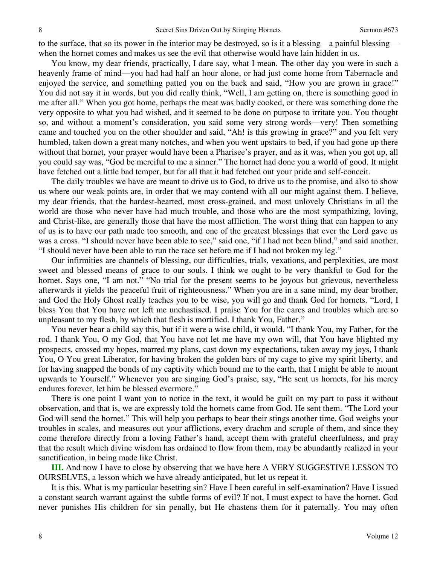to the surface, that so its power in the interior may be destroyed, so is it a blessing—a painful blessing when the hornet comes and makes us see the evil that otherwise would have lain hidden in us.

 You know, my dear friends, practically, I dare say, what I mean. The other day you were in such a heavenly frame of mind—you had had half an hour alone, or had just come home from Tabernacle and enjoyed the service, and something patted you on the back and said, "How you are grown in grace!" You did not say it in words, but you did really think, "Well, I am getting on, there is something good in me after all." When you got home, perhaps the meat was badly cooked, or there was something done the very opposite to what you had wished, and it seemed to be done on purpose to irritate you. You thought so, and without a moment's consideration, you said some very strong words—very! Then something came and touched you on the other shoulder and said, "Ah! is this growing in grace?" and you felt very humbled, taken down a great many notches, and when you went upstairs to bed, if you had gone up there without that hornet, your prayer would have been a Pharisee's prayer, and as it was, when you got up, all you could say was, "God be merciful to me a sinner." The hornet had done you a world of good. It might have fetched out a little bad temper, but for all that it had fetched out your pride and self-conceit.

 The daily troubles we have are meant to drive us to God, to drive us to the promise, and also to show us where our weak points are, in order that we may contend with all our might against them. I believe, my dear friends, that the hardest-hearted, most cross-grained, and most unlovely Christians in all the world are those who never have had much trouble, and those who are the most sympathizing, loving, and Christ-like, are generally those that have the most affliction. The worst thing that can happen to any of us is to have our path made too smooth, and one of the greatest blessings that ever the Lord gave us was a cross. "I should never have been able to see," said one, "if I had not been blind," and said another, "I should never have been able to run the race set before me if I had not broken my leg."

 Our infirmities are channels of blessing, our difficulties, trials, vexations, and perplexities, are most sweet and blessed means of grace to our souls. I think we ought to be very thankful to God for the hornet. Says one, "I am not." "No trial for the present seems to be joyous but grievous, nevertheless afterwards it yields the peaceful fruit of righteousness." When you are in a sane mind, my dear brother, and God the Holy Ghost really teaches you to be wise, you will go and thank God for hornets. "Lord, I bless You that You have not left me unchastised. I praise You for the cares and troubles which are so unpleasant to my flesh, by which that flesh is mortified. I thank You, Father."

 You never hear a child say this, but if it were a wise child, it would. "I thank You, my Father, for the rod. I thank You, O my God, that You have not let me have my own will, that You have blighted my prospects, crossed my hopes, marred my plans, cast down my expectations, taken away my joys, I thank You, O You great Liberator, for having broken the golden bars of my cage to give my spirit liberty, and for having snapped the bonds of my captivity which bound me to the earth, that I might be able to mount upwards to Yourself." Whenever you are singing God's praise, say, "He sent us hornets, for his mercy endures forever, let him be blessed evermore."

 There is one point I want you to notice in the text, it would be guilt on my part to pass it without observation, and that is, we are expressly told the hornets came from God. He sent them. "The Lord your God will send the hornet." This will help you perhaps to bear their stings another time. God weighs your troubles in scales, and measures out your afflictions, every drachm and scruple of them, and since they come therefore directly from a loving Father's hand, accept them with grateful cheerfulness, and pray that the result which divine wisdom has ordained to flow from them, may be abundantly realized in your sanctification, in being made like Christ.

**III.** And now I have to close by observing that we have here A VERY SUGGESTIVE LESSON TO OURSELVES, a lesson which we have already anticipated, but let us repeat it.

 It is this. What is my particular besetting sin? Have I been careful in self-examination? Have I issued a constant search warrant against the subtle forms of evil? If not, I must expect to have the hornet. God never punishes His children for sin penally, but He chastens them for it paternally. You may often